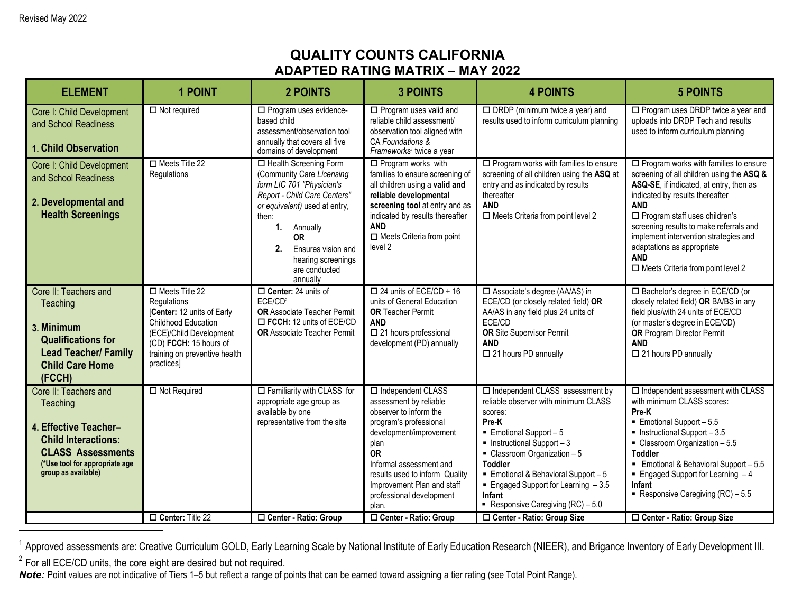## **QUALITY COUNTS CALIFORNIA ADAPTED RATING MATRIX – MAY 2022**

| <b>ELEMENT</b>                                                                                                                                                                | <b>1 POINT</b>                                                                                                                                                                                       | <b>2 POINTS</b>                                                                                                                                                                                                                                                        | <b>3 POINTS</b>                                                                                                                                                                                                                                                                        | <b>4 POINTS</b>                                                                                                                                                                                                                                                                                                                                                                                     | <b>5 POINTS</b>                                                                                                                                                                                                                                                                                                                                                                                           |
|-------------------------------------------------------------------------------------------------------------------------------------------------------------------------------|------------------------------------------------------------------------------------------------------------------------------------------------------------------------------------------------------|------------------------------------------------------------------------------------------------------------------------------------------------------------------------------------------------------------------------------------------------------------------------|----------------------------------------------------------------------------------------------------------------------------------------------------------------------------------------------------------------------------------------------------------------------------------------|-----------------------------------------------------------------------------------------------------------------------------------------------------------------------------------------------------------------------------------------------------------------------------------------------------------------------------------------------------------------------------------------------------|-----------------------------------------------------------------------------------------------------------------------------------------------------------------------------------------------------------------------------------------------------------------------------------------------------------------------------------------------------------------------------------------------------------|
| Core I: Child Development<br>and School Readiness<br><b>1. Child Observation</b>                                                                                              | $\Box$ Not required                                                                                                                                                                                  | □ Program uses evidence-<br>based child<br>assessment/observation tool<br>annually that covers all five<br>domains of development                                                                                                                                      | $\Box$ Program uses valid and<br>reliable child assessment/<br>observation tool aligned with<br>CA Foundations &<br>Frameworks <sup>1</sup> twice a year                                                                                                                               | $\Box$ DRDP (minimum twice a year) and<br>results used to inform curriculum planning                                                                                                                                                                                                                                                                                                                | $\square$ Program uses DRDP twice a year and<br>uploads into DRDP Tech and results<br>used to inform curriculum planning                                                                                                                                                                                                                                                                                  |
| Core I: Child Development<br>and School Readiness<br>2. Developmental and<br><b>Health Screenings</b>                                                                         | $\Box$ Meets Title 22<br>Regulations                                                                                                                                                                 | □ Health Screening Form<br>(Community Care Licensing<br>form LIC 701 "Physician's<br>Report - Child Care Centers"<br>or equivalent) used at entry,<br>then:<br>1. Annually<br><b>OR</b><br>2.<br>Ensures vision and<br>hearing screenings<br>are conducted<br>annually | $\Box$ Program works with<br>families to ensure screening of<br>all children using a valid and<br>reliable developmental<br>screening tool at entry and as<br>indicated by results thereafter<br><b>AND</b><br>$\Box$ Meets Criteria from point<br>level 2                             | $\square$ Program works with families to ensure<br>screening of all children using the ASQ at<br>entry and as indicated by results<br>thereafter<br><b>AND</b><br>$\square$ Meets Criteria from point level 2                                                                                                                                                                                       | $\Box$ Program works with families to ensure<br>screening of all children using the ASQ &<br>ASQ-SE, if indicated, at entry, then as<br>indicated by results thereafter<br><b>AND</b><br>$\Box$ Program staff uses children's<br>screening results to make referrals and<br>implement intervention strategies and<br>adaptations as appropriate<br><b>AND</b><br>$\Box$ Meets Criteria from point level 2 |
| Core II: Teachers and<br>Teaching<br>3. Minimum<br><b>Qualifications for</b><br><b>Lead Teacher/ Family</b><br><b>Child Care Home</b><br>(FCCH)                               | $\Box$ Meets Title 22<br>Regulations<br>[Center: 12 units of Early<br><b>Childhood Education</b><br>(ECE)/Child Development<br>(CD) FCCH: 15 hours of<br>training on preventive health<br>practices] | $\Box$ Center: 24 units of<br>ECE/CD <sup>2</sup><br>OR Associate Teacher Permit<br>ECCH: 12 units of ECE/CD<br><b>OR Associate Teacher Permit</b>                                                                                                                     | $\Box$ 24 units of ECE/CD + 16<br>units of General Education<br><b>OR Teacher Permit</b><br><b>AND</b><br>$\square$ 21 hours professional<br>development (PD) annually                                                                                                                 | □ Associate's degree (AA/AS) in<br>ECE/CD (or closely related field) OR<br>AA/AS in any field plus 24 units of<br>ECE/CD<br><b>OR</b> Site Supervisor Permit<br><b>AND</b><br>□ 21 hours PD annually                                                                                                                                                                                                | □ Bachelor's degree in ECE/CD (or<br>closely related field) OR BA/BS in any<br>field plus/with 24 units of ECE/CD<br>(or master's degree in ECE/CD)<br><b>OR</b> Program Director Permit<br><b>AND</b><br>$\square$ 21 hours PD annually                                                                                                                                                                  |
| Core II: Teachers and<br>Teaching<br>4. Effective Teacher-<br><b>Child Interactions:</b><br><b>CLASS Assessments</b><br>(*Use tool for appropriate age<br>group as available) | $\Box$ Not Required                                                                                                                                                                                  | $\Box$ Familiarity with CLASS for<br>appropriate age group as<br>available by one<br>representative from the site                                                                                                                                                      | $\Box$ Independent CLASS<br>assessment by reliable<br>observer to inform the<br>program's professional<br>development/improvement<br>plan<br><b>OR</b><br>Informal assessment and<br>results used to inform Quality<br>Improvement Plan and staff<br>professional development<br>plan. | □ Independent CLASS assessment by<br>reliable observer with minimum CLASS<br>scores:<br>Pre-K<br>$\blacksquare$ Emotional Support - 5<br>$\blacksquare$ Instructional Support - 3<br>$\blacksquare$ Classroom Organization - 5<br><b>Toddler</b><br>$\blacksquare$ Emotional & Behavioral Support - 5<br>Engaged Support for Learning $-3.5$<br><b>Infant</b><br>Responsive Caregiving $(RC) - 5.0$ | $\Box$ Independent assessment with CLASS<br>with minimum CLASS scores:<br>Pre-K<br>$\blacksquare$ Emotional Support - 5.5<br>$\blacksquare$ Instructional Support - 3.5<br>$\blacksquare$ Classroom Organization - 5.5<br><b>Toddler</b><br>Emotional & Behavioral Support - 5.5<br>$\blacksquare$ Engaged Support for Learning $-4$<br>Infant<br>Responsive Caregiving $(RC) - 5.5$                      |
|                                                                                                                                                                               | Center: Title 22                                                                                                                                                                                     | □ Center - Ratio: Group                                                                                                                                                                                                                                                | □ Center - Ratio: Group                                                                                                                                                                                                                                                                | □ Center - Ratio: Group Size                                                                                                                                                                                                                                                                                                                                                                        | □ Center - Ratio: Group Size                                                                                                                                                                                                                                                                                                                                                                              |

<sup>1</sup> Approved assessments are: Creative Curriculum GOLD, Early Learning Scale by National Institute of Early Education Research (NIEER), and Brigance Inventory of Early Development III.

 $2$  For all ECE/CD units, the core eight are desired but not required.

*Note:* Point values are not indicative of Tiers 1–5 but reflect a range of points that can be earned toward assigning a tier rating (see Total Point Range).